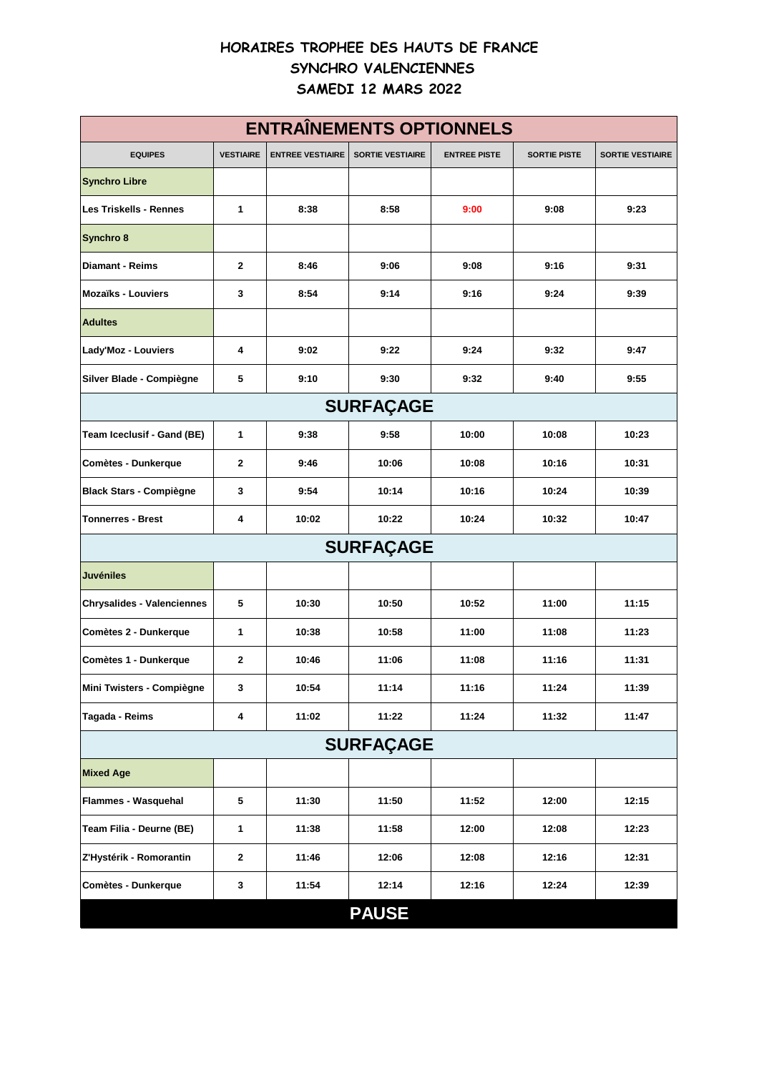## **HORAIRES TROPHEE DES HAUTS DE FRANCE SYNCHRO VALENCIENNES SAMEDI 12 MARS 2022**

| <b>ENTRAÎNEMENTS OPTIONNELS</b>   |                  |                         |                         |                     |                     |                         |  |  |
|-----------------------------------|------------------|-------------------------|-------------------------|---------------------|---------------------|-------------------------|--|--|
| <b>EQUIPES</b>                    | <b>VESTIAIRE</b> | <b>ENTREE VESTIAIRE</b> | <b>SORTIE VESTIAIRE</b> | <b>ENTREE PISTE</b> | <b>SORTIE PISTE</b> | <b>SORTIE VESTIAIRE</b> |  |  |
| <b>Synchro Libre</b>              |                  |                         |                         |                     |                     |                         |  |  |
| <b>Les Triskells - Rennes</b>     | 1                | 8:38                    | 8:58                    | 9:00                | 9:08                | 9:23                    |  |  |
| Synchro 8                         |                  |                         |                         |                     |                     |                         |  |  |
| <b>Diamant - Reims</b>            | $\mathbf{2}$     | 8:46                    | 9:06                    | 9:08                | 9:16                | 9:31                    |  |  |
| <b>Mozaïks - Louviers</b>         | 3                | 8:54                    | 9:14                    | 9:16                | 9:24                | 9:39                    |  |  |
| <b>Adultes</b>                    |                  |                         |                         |                     |                     |                         |  |  |
| Lady'Moz - Louviers               | 4                | 9:02                    | 9:22                    | 9:24                | 9:32                | 9:47                    |  |  |
| Silver Blade - Compiègne          | 5                | 9:10                    | 9:30                    | 9:32                | 9:40                | 9:55                    |  |  |
| <b>SURFAÇAGE</b>                  |                  |                         |                         |                     |                     |                         |  |  |
| Team Iceclusif - Gand (BE)        | 1                | 9:38                    | 9:58                    | 10:00               | 10:08               | 10:23                   |  |  |
| Comètes - Dunkerque               | 2                | 9:46                    | 10:06                   | 10:08               | 10:16               | 10:31                   |  |  |
| <b>Black Stars - Compiègne</b>    | 3                | 9:54                    | 10:14                   | 10:16               | 10:24               | 10:39                   |  |  |
| Tonnerres - Brest                 | 4                | 10:02                   | 10:22                   | 10:24               | 10:32               | 10:47                   |  |  |
| <b>SURFAÇAGE</b>                  |                  |                         |                         |                     |                     |                         |  |  |
| <b>Juvéniles</b>                  |                  |                         |                         |                     |                     |                         |  |  |
| <b>Chrysalides - Valenciennes</b> | 5                | 10:30                   | 10:50                   | 10:52               | 11:00               | 11:15                   |  |  |
| Comètes 2 - Dunkerque             | 1                | 10:38                   | 10:58                   | 11:00               | 11:08               | 11:23                   |  |  |
| Comètes 1 - Dunkerque             | 2                | 10:46                   | 11:06                   | 11:08               | 11:16               | 11:31                   |  |  |
| Mini Twisters - Compiègne         | 3                | 10:54                   | 11:14                   | 11:16               | 11:24               | 11:39                   |  |  |
| Tagada - Reims                    | 4                | 11:02                   | 11:22                   | 11:24               | 11:32               | 11:47                   |  |  |
| <b>SURFAÇAGE</b>                  |                  |                         |                         |                     |                     |                         |  |  |
| <b>Mixed Age</b>                  |                  |                         |                         |                     |                     |                         |  |  |
| Flammes - Wasquehal               | 5                | 11:30                   | 11:50                   | 11:52               | 12:00               | 12:15                   |  |  |
| Team Filia - Deurne (BE)          | 1                | 11:38                   | 11:58                   | 12:00               | 12:08               | 12:23                   |  |  |
| Z'Hystérik - Romorantin           | 2                | 11:46                   | 12:06                   | 12:08               | 12:16               | 12:31                   |  |  |
| Comètes - Dunkerque               | 3                | 11:54                   | 12:14                   | 12:16               | 12:24               | 12:39                   |  |  |
|                                   |                  |                         | <b>PAUSE</b>            |                     |                     |                         |  |  |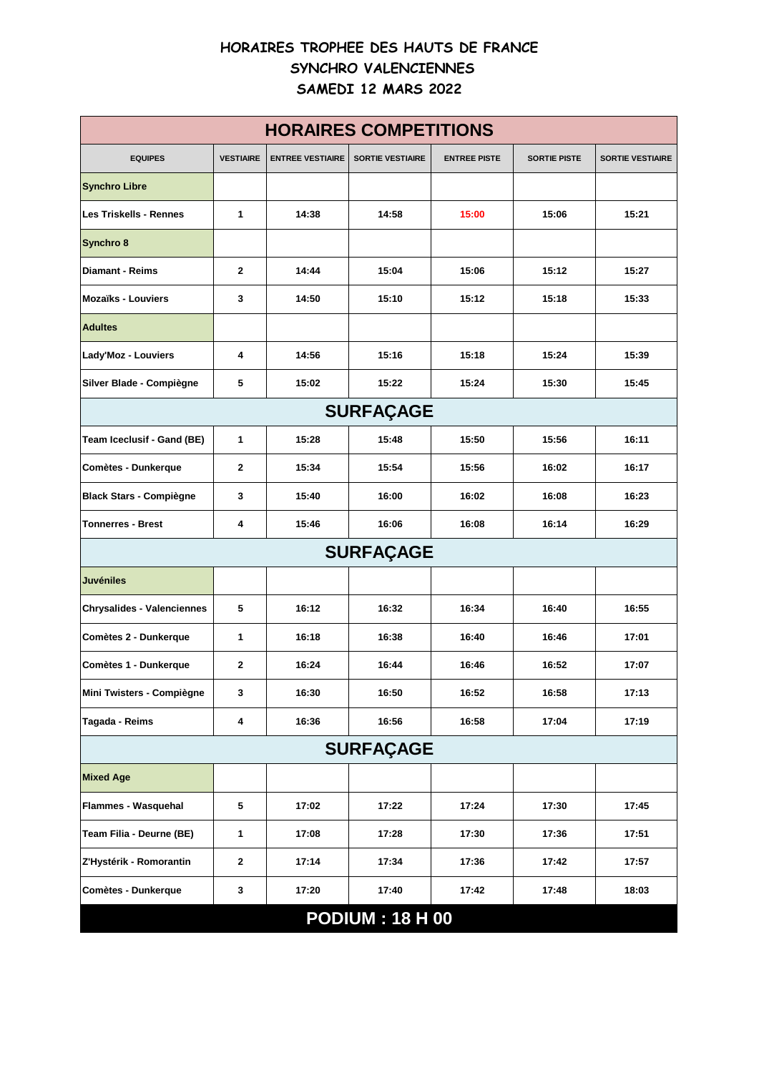## **HORAIRES TROPHEE DES HAUTS DE FRANCE SYNCHRO VALENCIENNES SAMEDI 12 MARS 2022**

| <b>HORAIRES COMPETITIONS</b>      |                  |                         |                         |                     |                     |                         |  |  |
|-----------------------------------|------------------|-------------------------|-------------------------|---------------------|---------------------|-------------------------|--|--|
| <b>EQUIPES</b>                    | <b>VESTIAIRE</b> | <b>ENTREE VESTIAIRE</b> | <b>SORTIE VESTIAIRE</b> | <b>ENTREE PISTE</b> | <b>SORTIE PISTE</b> | <b>SORTIE VESTIAIRE</b> |  |  |
| <b>Synchro Libre</b>              |                  |                         |                         |                     |                     |                         |  |  |
| <b>Les Triskells - Rennes</b>     | 1                | 14:38                   | 14:58                   | 15:00               | 15:06               | 15:21                   |  |  |
| Synchro 8                         |                  |                         |                         |                     |                     |                         |  |  |
| <b>Diamant - Reims</b>            | $\mathbf{2}$     | 14:44                   | 15:04                   | 15:06               | 15:12               | 15:27                   |  |  |
| <b>Mozaïks - Louviers</b>         | 3                | 14:50                   | 15:10                   | 15:12               | 15:18               | 15:33                   |  |  |
| <b>Adultes</b>                    |                  |                         |                         |                     |                     |                         |  |  |
| Lady'Moz - Louviers               | 4                | 14:56                   | 15:16                   | 15:18               | 15:24               | 15:39                   |  |  |
| Silver Blade - Compiègne          | 5                | 15:02                   | 15:22                   | 15:24               | 15:30               | 15:45                   |  |  |
| <b>SURFAÇAGE</b>                  |                  |                         |                         |                     |                     |                         |  |  |
| Team Iceclusif - Gand (BE)        | 1                | 15:28                   | 15:48                   | 15:50               | 15:56               | 16:11                   |  |  |
| <b>Comètes - Dunkerque</b>        | $\mathbf{2}$     | 15:34                   | 15:54                   | 15:56               | 16:02               | 16:17                   |  |  |
| <b>Black Stars - Compiègne</b>    | 3                | 15:40                   | 16:00                   | 16:02               | 16:08               | 16:23                   |  |  |
| <b>Tonnerres - Brest</b>          | 4                | 15:46                   | 16:06                   | 16:08               | 16:14               | 16:29                   |  |  |
| <b>SURFAÇAGE</b>                  |                  |                         |                         |                     |                     |                         |  |  |
| <b>Juvéniles</b>                  |                  |                         |                         |                     |                     |                         |  |  |
| <b>Chrysalides - Valenciennes</b> | 5                | 16:12                   | 16:32                   | 16:34               | 16:40               | 16:55                   |  |  |
| Comètes 2 - Dunkerque             | 1                | 16:18                   | 16:38                   | 16:40               | 16:46               | 17:01                   |  |  |
| Comètes 1 - Dunkerque             | 2                | 16:24                   | 16:44                   | 16:46               | 16:52               | 17:07                   |  |  |
| Mini Twisters - Compiègne         | 3                | 16:30                   | 16:50                   | 16:52               | 16:58               | 17:13                   |  |  |
| Tagada - Reims                    | 4                | 16:36                   | 16:56                   | 16:58               | 17:04               | 17:19                   |  |  |
| <b>SURFAÇAGE</b>                  |                  |                         |                         |                     |                     |                         |  |  |
| <b>Mixed Age</b>                  |                  |                         |                         |                     |                     |                         |  |  |
| Flammes - Wasquehal               | 5                | 17:02                   | 17:22                   | 17:24               | 17:30               | 17:45                   |  |  |
| Team Filia - Deurne (BE)          | 1                | 17:08                   | 17:28                   | 17:30               | 17:36               | 17:51                   |  |  |
| Z'Hystérik - Romorantin           | $\mathbf 2$      | 17:14                   | 17:34                   | 17:36               | 17:42               | 17:57                   |  |  |
| Comètes - Dunkerque               | 3                | 17:20                   | 17:40                   | 17:42               | 17:48               | 18:03                   |  |  |
| <b>PODIUM: 18 H 00</b>            |                  |                         |                         |                     |                     |                         |  |  |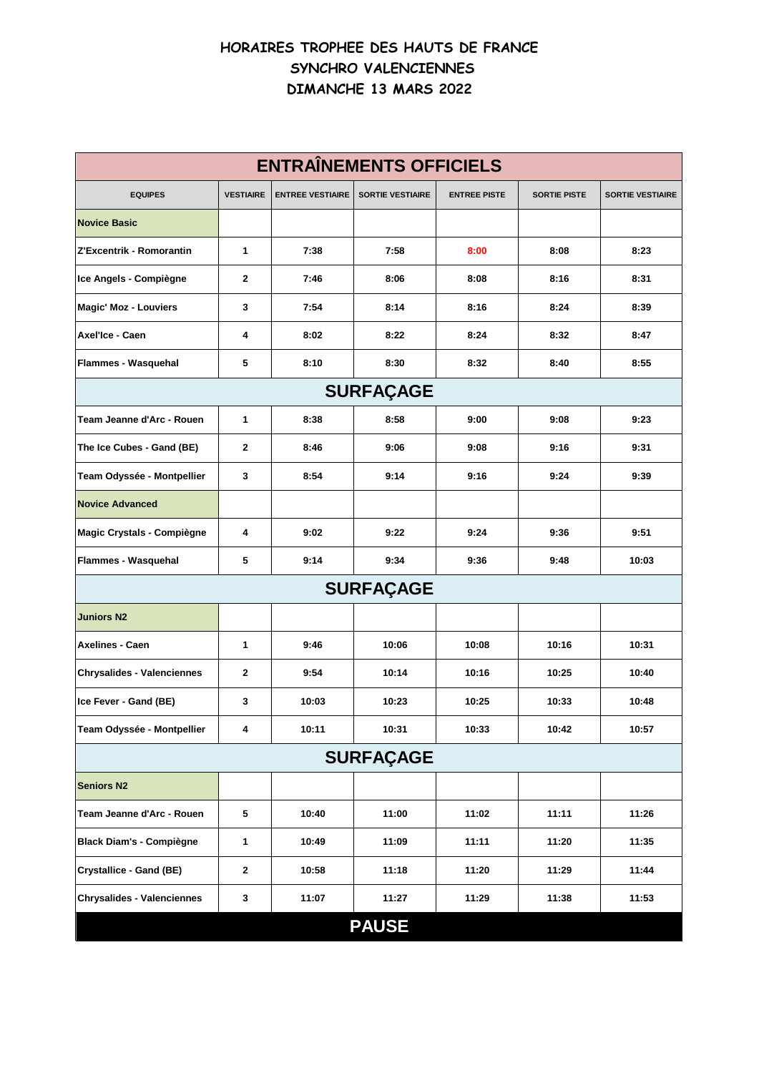## **HORAIRES TROPHEE DES HAUTS DE FRANCE SYNCHRO VALENCIENNES DIMANCHE 13 MARS 2022**

| <b>ENTRAÎNEMENTS OFFICIELS</b>    |                         |                         |                         |                     |                     |                         |  |  |
|-----------------------------------|-------------------------|-------------------------|-------------------------|---------------------|---------------------|-------------------------|--|--|
| <b>EQUIPES</b>                    | <b>VESTIAIRE</b>        | <b>ENTREE VESTIAIRE</b> | <b>SORTIE VESTIAIRE</b> | <b>ENTREE PISTE</b> | <b>SORTIE PISTE</b> | <b>SORTIE VESTIAIRE</b> |  |  |
| <b>Novice Basic</b>               |                         |                         |                         |                     |                     |                         |  |  |
| Z'Excentrik - Romorantin          | 1                       | 7:38                    | 7:58                    | 8:00                | 8:08                | 8:23                    |  |  |
| Ice Angels - Compiègne            | $\mathbf{2}$            | 7:46                    | 8:06                    | 8:08                | 8:16                | 8:31                    |  |  |
| <b>Magic' Moz - Louviers</b>      | 3                       | 7:54                    | 8:14                    | 8:16                | 8:24                | 8:39                    |  |  |
| Axel'Ice - Caen                   | 4                       | 8:02                    | 8:22                    | 8:24                | 8:32                | 8:47                    |  |  |
| Flammes - Wasquehal               | 5                       | 8:10                    | 8:30                    | 8:32                | 8:40                | 8:55                    |  |  |
| <b>SURFAÇAGE</b>                  |                         |                         |                         |                     |                     |                         |  |  |
| Team Jeanne d'Arc - Rouen         | 1                       | 8:38                    | 8:58                    | 9:00                | 9:08                | 9:23                    |  |  |
| The Ice Cubes - Gand (BE)         | $\mathbf{2}$            | 8:46                    | 9:06                    | 9:08                | 9:16                | 9:31                    |  |  |
| Team Odyssée - Montpellier        | 3                       | 8:54                    | 9:14                    | 9:16                | 9:24                | 9:39                    |  |  |
| <b>Novice Advanced</b>            |                         |                         |                         |                     |                     |                         |  |  |
| Magic Crystals - Compiègne        | 4                       | 9:02                    | 9:22                    | 9:24                | 9:36                | 9:51                    |  |  |
| Flammes - Wasquehal               | 5                       | 9:14                    | 9:34                    | 9:36                | 9:48                | 10:03                   |  |  |
| <b>SURFAÇAGE</b>                  |                         |                         |                         |                     |                     |                         |  |  |
| <b>Juniors N2</b>                 |                         |                         |                         |                     |                     |                         |  |  |
| <b>Axelines - Caen</b>            | 1                       | 9:46                    | 10:06                   | 10:08               | 10:16               | 10:31                   |  |  |
| <b>Chrysalides - Valenciennes</b> | $\mathbf{2}$            | 9:54                    | 10:14                   | 10:16               | 10:25               | 10:40                   |  |  |
| Ice Fever - Gand (BE)             | 3                       | 10:03                   | 10:23                   | 10:25               | 10:33               | 10:48                   |  |  |
| Team Odyssée - Montpellier        | $\overline{\mathbf{4}}$ | 10:11                   | 10:31                   | 10:33               | 10:42               | 10:57                   |  |  |
| <b>SURFAÇAGE</b>                  |                         |                         |                         |                     |                     |                         |  |  |
| <b>Seniors N2</b>                 |                         |                         |                         |                     |                     |                         |  |  |
| Team Jeanne d'Arc - Rouen         | 5                       | 10:40                   | 11:00                   | 11:02               | 11:11               | 11:26                   |  |  |
| <b>Black Diam's - Compiègne</b>   | 1                       | 10:49                   | 11:09                   | 11:11               | 11:20               | 11:35                   |  |  |
| <b>Crystallice - Gand (BE)</b>    | $\mathbf{2}$            | 10:58                   | 11:18                   | 11:20               | 11:29               | 11:44                   |  |  |
| <b>Chrysalides - Valenciennes</b> | 3                       | 11:07                   | 11:27                   | 11:29               | 11:38               | 11:53                   |  |  |
| <b>PAUSE</b>                      |                         |                         |                         |                     |                     |                         |  |  |